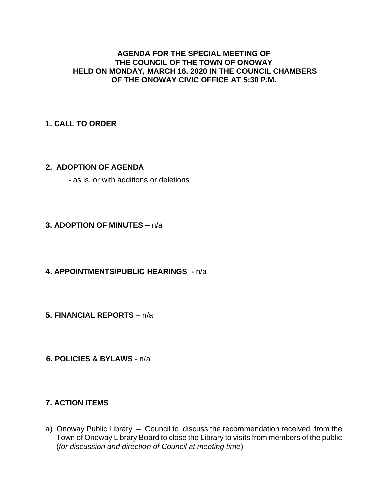#### **AGENDA FOR THE SPECIAL MEETING OF THE COUNCIL OF THE TOWN OF ONOWAY HELD ON MONDAY, MARCH 16, 2020 IN THE COUNCIL CHAMBERS OF THE ONOWAY CIVIC OFFICE AT 5:30 P.M.**

## **1. CALL TO ORDER**

### **2. ADOPTION OF AGENDA**

- as is, or with additions or deletions

### **3. ADOPTION OF MINUTES –** n/a

### **4. APPOINTMENTS/PUBLIC HEARINGS -** n/a

**5. FINANCIAL REPORTS** – n/a

 **6. POLICIES & BYLAWS** - n/a

## **7. ACTION ITEMS**

a) Onoway Public Library – Council to discuss the recommendation received from the Town of Onoway Library Board to close the Library to visits from members of the public (*for discussion and direction of Council at meeting time*)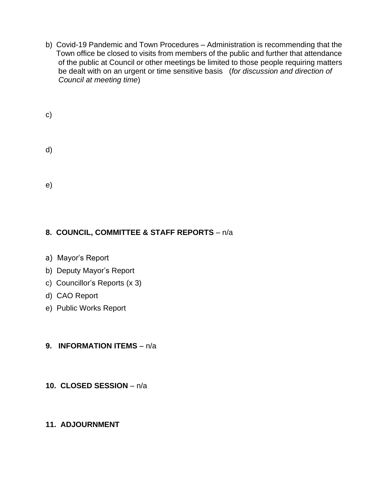b) Covid-19 Pandemic and Town Procedures – Administration is recommending that the Town office be closed to visits from members of the public and further that attendance of the public at Council or other meetings be limited to those people requiring matters be dealt with on an urgent or time sensitive basis (*for discussion and direction of Council at meeting time*)

| $\mathsf{c})$ |  |  |  |
|---------------|--|--|--|
| d)            |  |  |  |
| e)            |  |  |  |

# **8. COUNCIL, COMMITTEE & STAFF REPORTS** – n/a

- a) Mayor's Report
- b) Deputy Mayor's Report
- c) Councillor's Reports (x 3)
- d) CAO Report
- e) Public Works Report

## **9. INFORMATION ITEMS** – n/a

## **10. CLOSED SESSION** – n/a

## **11. ADJOURNMENT**